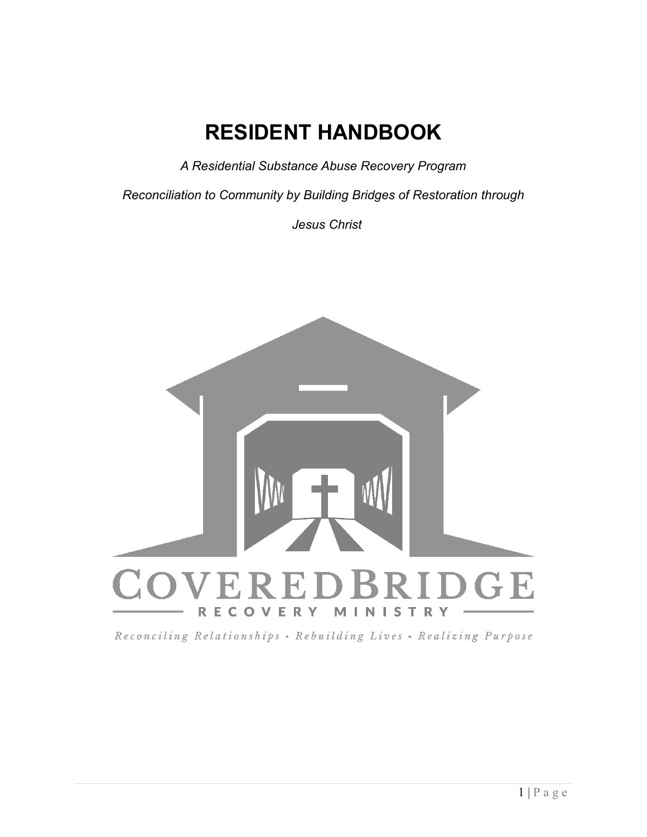# **RESIDENT HANDBOOK**

*A Residential Substance Abuse Recovery Program*

*Reconciliation to Community by Building Bridges of Restoration through*

 *Jesus Christ*



Reconciling Relationships • Rebuilding Lives • Realizing Purpose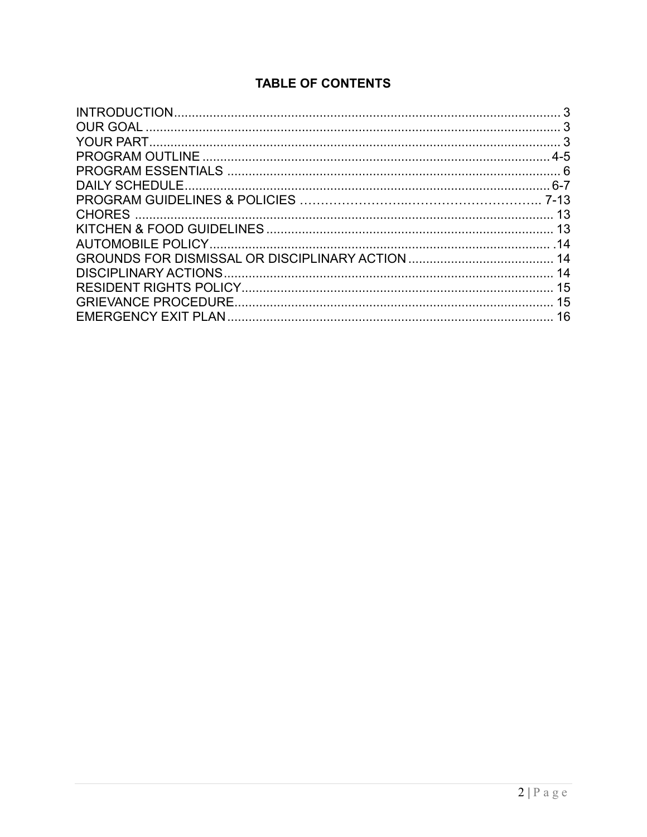# **TABLE OF CONTENTS**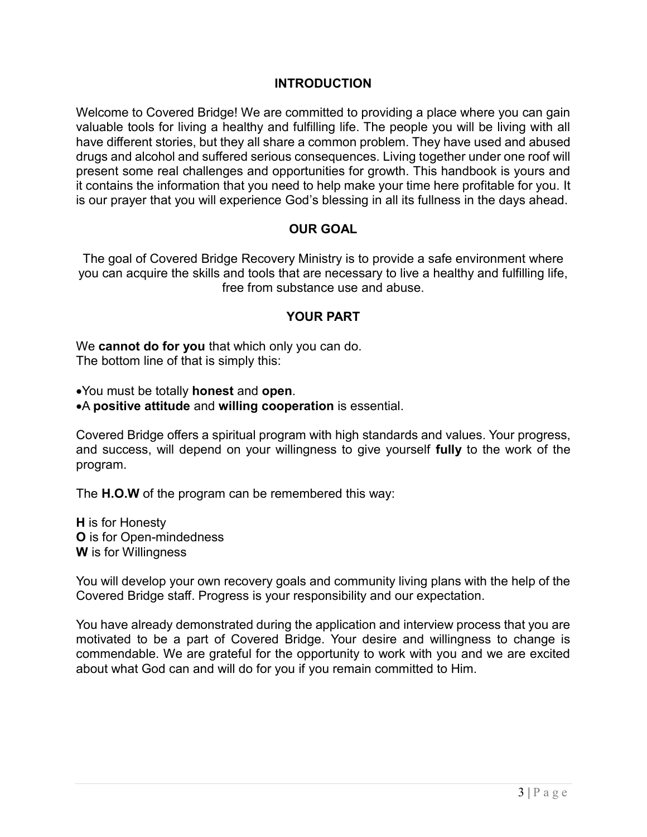#### **INTRODUCTION**

Welcome to Covered Bridge! We are committed to providing a place where you can gain valuable tools for living a healthy and fulfilling life. The people you will be living with all have different stories, but they all share a common problem. They have used and abused drugs and alcohol and suffered serious consequences. Living together under one roof will present some real challenges and opportunities for growth. This handbook is yours and it contains the information that you need to help make your time here profitable for you. It is our prayer that you will experience God's blessing in all its fullness in the days ahead.

#### **OUR GOAL**

The goal of Covered Bridge Recovery Ministry is to provide a safe environment where you can acquire the skills and tools that are necessary to live a healthy and fulfilling life, free from substance use and abuse.

#### **YOUR PART**

We **cannot do for you** that which only you can do. The bottom line of that is simply this:

You must be totally **honest** and **open**.

A **positive attitude** and **willing cooperation** is essential.

Covered Bridge offers a spiritual program with high standards and values. Your progress, and success, will depend on your willingness to give yourself **fully** to the work of the program.

The **H.O.W** of the program can be remembered this way:

**H** is for Honesty **O** is for Open-mindedness **W** is for Willingness

You will develop your own recovery goals and community living plans with the help of the Covered Bridge staff. Progress is your responsibility and our expectation.

You have already demonstrated during the application and interview process that you are motivated to be a part of Covered Bridge. Your desire and willingness to change is commendable. We are grateful for the opportunity to work with you and we are excited about what God can and will do for you if you remain committed to Him.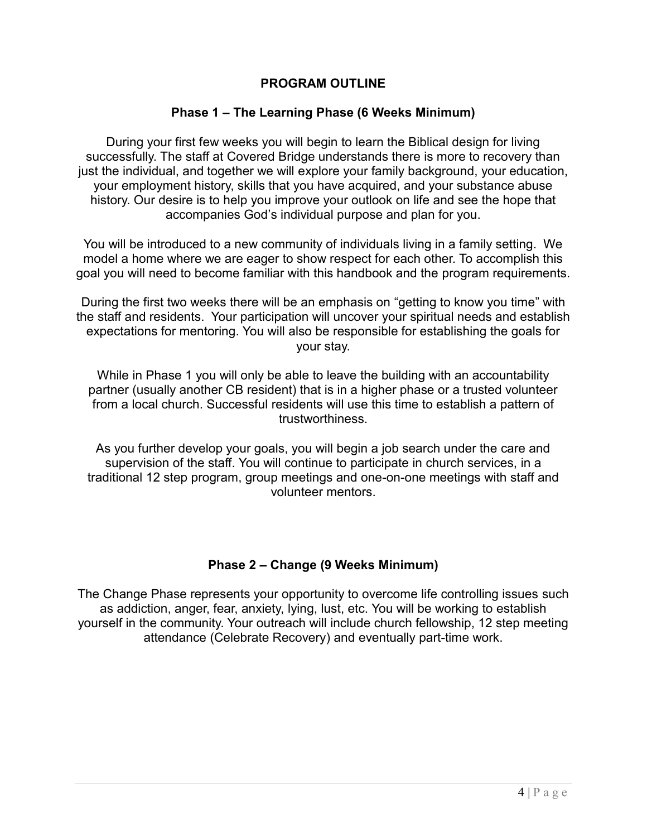#### **PROGRAM OUTLINE**

#### **Phase 1 – The Learning Phase (6 Weeks Minimum)**

During your first few weeks you will begin to learn the Biblical design for living successfully. The staff at Covered Bridge understands there is more to recovery than just the individual, and together we will explore your family background, your education, your employment history, skills that you have acquired, and your substance abuse history. Our desire is to help you improve your outlook on life and see the hope that accompanies God's individual purpose and plan for you.

You will be introduced to a new community of individuals living in a family setting. We model a home where we are eager to show respect for each other. To accomplish this goal you will need to become familiar with this handbook and the program requirements.

During the first two weeks there will be an emphasis on "getting to know you time" with the staff and residents. Your participation will uncover your spiritual needs and establish expectations for mentoring. You will also be responsible for establishing the goals for your stay.

While in Phase 1 you will only be able to leave the building with an accountability partner (usually another CB resident) that is in a higher phase or a trusted volunteer from a local church. Successful residents will use this time to establish a pattern of trustworthiness.

As you further develop your goals, you will begin a job search under the care and supervision of the staff. You will continue to participate in church services, in a traditional 12 step program, group meetings and one-on-one meetings with staff and volunteer mentors.

#### **Phase 2 – Change (9 Weeks Minimum)**

The Change Phase represents your opportunity to overcome life controlling issues such as addiction, anger, fear, anxiety, lying, lust, etc. You will be working to establish yourself in the community. Your outreach will include church fellowship, 12 step meeting attendance (Celebrate Recovery) and eventually part-time work.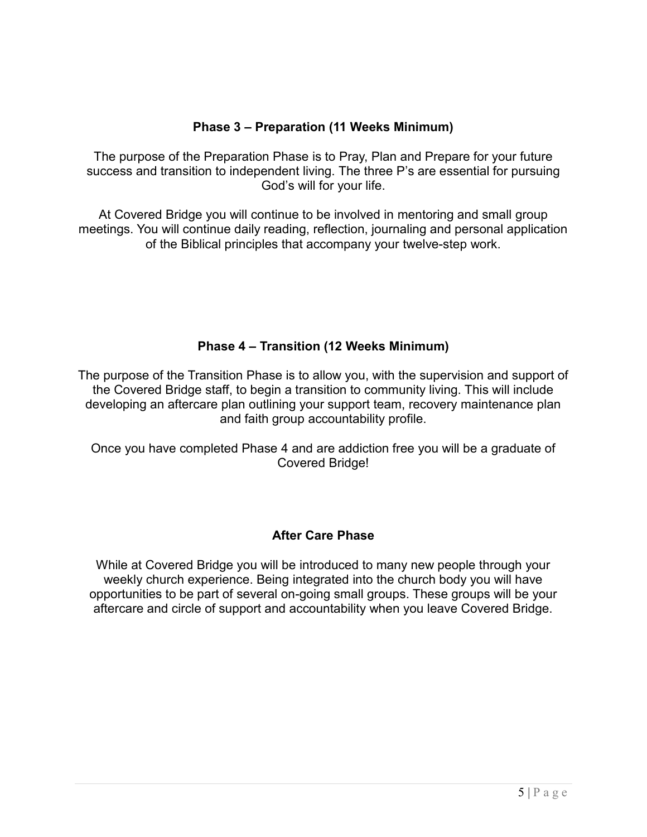## **Phase 3 – Preparation (11 Weeks Minimum)**

The purpose of the Preparation Phase is to Pray, Plan and Prepare for your future success and transition to independent living. The three P's are essential for pursuing God's will for your life.

At Covered Bridge you will continue to be involved in mentoring and small group meetings. You will continue daily reading, reflection, journaling and personal application of the Biblical principles that accompany your twelve-step work.

## **Phase 4 – Transition (12 Weeks Minimum)**

The purpose of the Transition Phase is to allow you, with the supervision and support of the Covered Bridge staff, to begin a transition to community living. This will include developing an aftercare plan outlining your support team, recovery maintenance plan and faith group accountability profile.

Once you have completed Phase 4 and are addiction free you will be a graduate of Covered Bridge!

## **After Care Phase**

While at Covered Bridge you will be introduced to many new people through your weekly church experience. Being integrated into the church body you will have opportunities to be part of several on-going small groups. These groups will be your aftercare and circle of support and accountability when you leave Covered Bridge.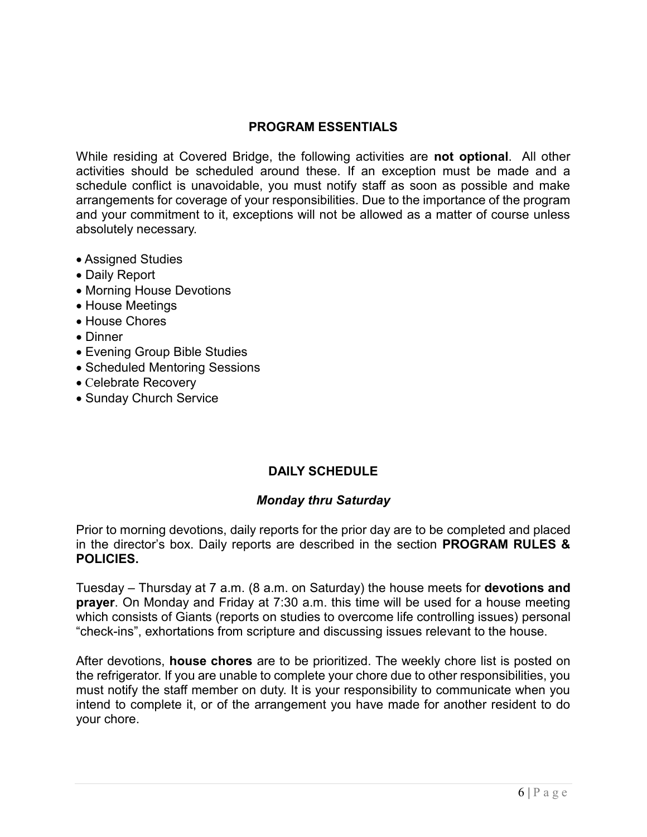#### **PROGRAM ESSENTIALS**

While residing at Covered Bridge, the following activities are **not optional**. All other activities should be scheduled around these. If an exception must be made and a schedule conflict is unavoidable, you must notify staff as soon as possible and make arrangements for coverage of your responsibilities. Due to the importance of the program and your commitment to it, exceptions will not be allowed as a matter of course unless absolutely necessary.

- Assigned Studies
- Daily Report
- Morning House Devotions
- House Meetings
- House Chores
- Dinner
- Evening Group Bible Studies
- Scheduled Mentoring Sessions
- Celebrate Recovery
- Sunday Church Service

# **DAILY SCHEDULE**

## *Monday thru Saturday*

Prior to morning devotions, daily reports for the prior day are to be completed and placed in the director's box. Daily reports are described in the section **PROGRAM RULES & POLICIES.**

Tuesday – Thursday at 7 a.m. (8 a.m. on Saturday) the house meets for **devotions and prayer**. On Monday and Friday at 7:30 a.m. this time will be used for a house meeting which consists of Giants (reports on studies to overcome life controlling issues) personal "check-ins", exhortations from scripture and discussing issues relevant to the house.

After devotions, **house chores** are to be prioritized. The weekly chore list is posted on the refrigerator. If you are unable to complete your chore due to other responsibilities, you must notify the staff member on duty. It is your responsibility to communicate when you intend to complete it, or of the arrangement you have made for another resident to do your chore.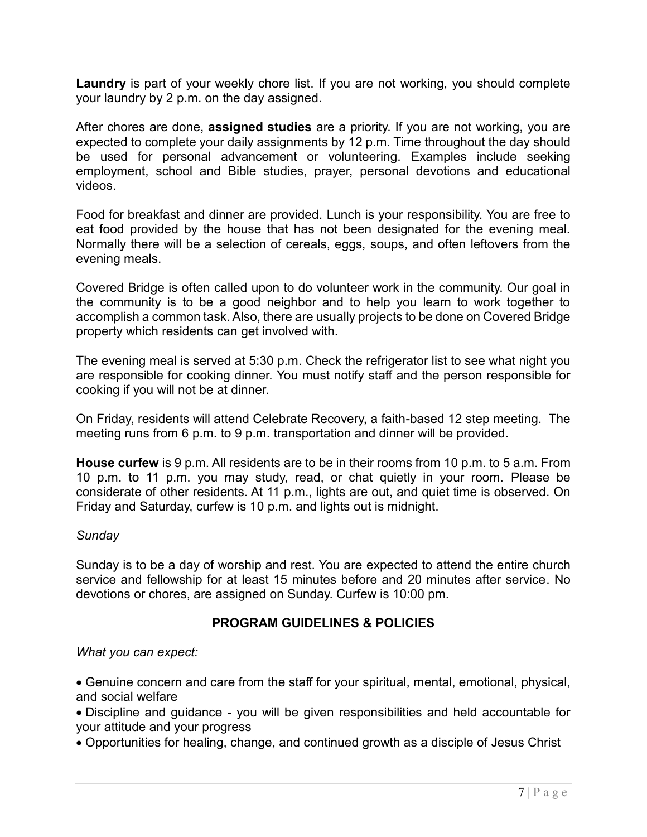**Laundry** is part of your weekly chore list. If you are not working, you should complete your laundry by 2 p.m. on the day assigned.

After chores are done, **assigned studies** are a priority. If you are not working, you are expected to complete your daily assignments by 12 p.m. Time throughout the day should be used for personal advancement or volunteering. Examples include seeking employment, school and Bible studies, prayer, personal devotions and educational videos.

Food for breakfast and dinner are provided. Lunch is your responsibility. You are free to eat food provided by the house that has not been designated for the evening meal. Normally there will be a selection of cereals, eggs, soups, and often leftovers from the evening meals.

Covered Bridge is often called upon to do volunteer work in the community. Our goal in the community is to be a good neighbor and to help you learn to work together to accomplish a common task. Also, there are usually projects to be done on Covered Bridge property which residents can get involved with.

The evening meal is served at 5:30 p.m. Check the refrigerator list to see what night you are responsible for cooking dinner. You must notify staff and the person responsible for cooking if you will not be at dinner.

On Friday, residents will attend Celebrate Recovery, a faith-based 12 step meeting. The meeting runs from 6 p.m. to 9 p.m. transportation and dinner will be provided.

**House curfew** is 9 p.m. All residents are to be in their rooms from 10 p.m. to 5 a.m. From 10 p.m. to 11 p.m. you may study, read, or chat quietly in your room. Please be considerate of other residents. At 11 p.m., lights are out, and quiet time is observed. On Friday and Saturday, curfew is 10 p.m. and lights out is midnight.

#### *Sunday*

Sunday is to be a day of worship and rest. You are expected to attend the entire church service and fellowship for at least 15 minutes before and 20 minutes after service. No devotions or chores, are assigned on Sunday. Curfew is 10:00 pm.

## **PROGRAM GUIDELINES & POLICIES**

*What you can expect:*

 Genuine concern and care from the staff for your spiritual, mental, emotional, physical, and social welfare

 Discipline and guidance - you will be given responsibilities and held accountable for your attitude and your progress

Opportunities for healing, change, and continued growth as a disciple of Jesus Christ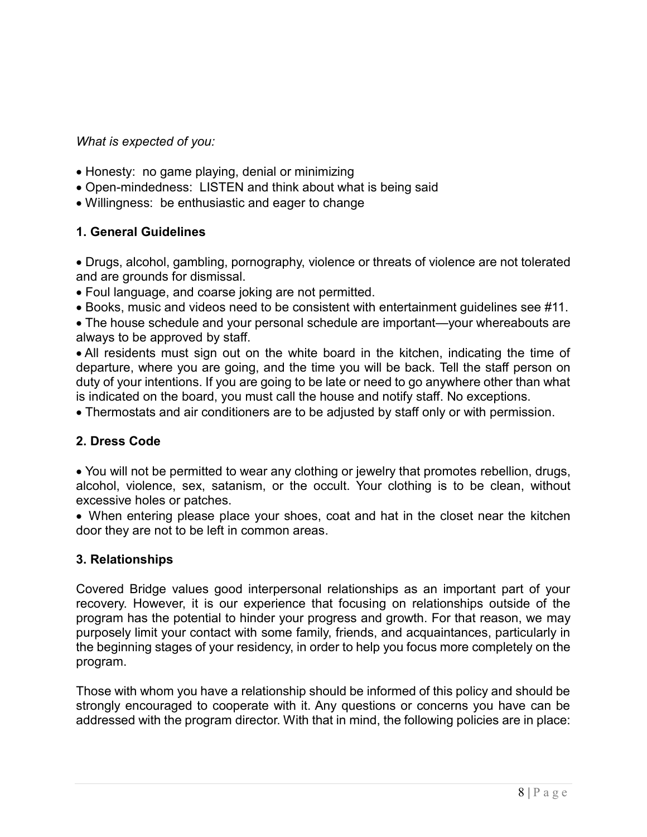*What is expected of you:*

- Honesty: no game playing, denial or minimizing
- Open-mindedness: LISTEN and think about what is being said
- Willingness: be enthusiastic and eager to change

#### **1. General Guidelines**

 Drugs, alcohol, gambling, pornography, violence or threats of violence are not tolerated and are grounds for dismissal.

- Foul language, and coarse joking are not permitted.
- Books, music and videos need to be consistent with entertainment guidelines see #11.

 The house schedule and your personal schedule are important—your whereabouts are always to be approved by staff.

 All residents must sign out on the white board in the kitchen, indicating the time of departure, where you are going, and the time you will be back. Tell the staff person on duty of your intentions. If you are going to be late or need to go anywhere other than what is indicated on the board, you must call the house and notify staff. No exceptions.

Thermostats and air conditioners are to be adjusted by staff only or with permission.

## **2. Dress Code**

 You will not be permitted to wear any clothing or jewelry that promotes rebellion, drugs, alcohol, violence, sex, satanism, or the occult. Your clothing is to be clean, without excessive holes or patches.

 When entering please place your shoes, coat and hat in the closet near the kitchen door they are not to be left in common areas.

#### **3. Relationships**

Covered Bridge values good interpersonal relationships as an important part of your recovery. However, it is our experience that focusing on relationships outside of the program has the potential to hinder your progress and growth. For that reason, we may purposely limit your contact with some family, friends, and acquaintances, particularly in the beginning stages of your residency, in order to help you focus more completely on the program.

Those with whom you have a relationship should be informed of this policy and should be strongly encouraged to cooperate with it. Any questions or concerns you have can be addressed with the program director. With that in mind, the following policies are in place: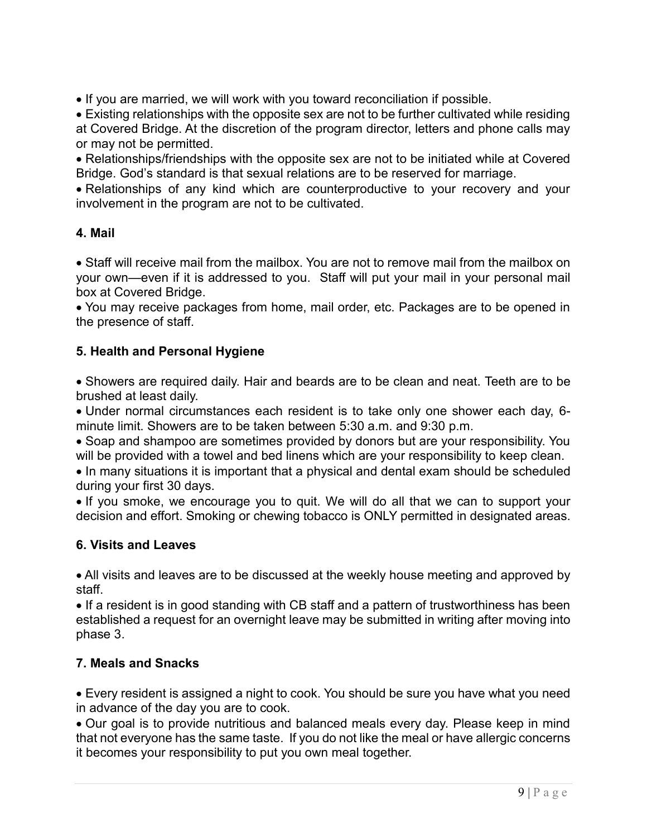• If you are married, we will work with you toward reconciliation if possible.

 Existing relationships with the opposite sex are not to be further cultivated while residing at Covered Bridge. At the discretion of the program director, letters and phone calls may or may not be permitted.

 Relationships/friendships with the opposite sex are not to be initiated while at Covered Bridge. God's standard is that sexual relations are to be reserved for marriage.

 Relationships of any kind which are counterproductive to your recovery and your involvement in the program are not to be cultivated.

# **4. Mail**

 Staff will receive mail from the mailbox. You are not to remove mail from the mailbox on your own—even if it is addressed to you. Staff will put your mail in your personal mail box at Covered Bridge.

 You may receive packages from home, mail order, etc. Packages are to be opened in the presence of staff.

# **5. Health and Personal Hygiene**

• Showers are required daily. Hair and beards are to be clean and neat. Teeth are to be brushed at least daily.

 Under normal circumstances each resident is to take only one shower each day, 6 minute limit. Showers are to be taken between 5:30 a.m. and 9:30 p.m.

 Soap and shampoo are sometimes provided by donors but are your responsibility. You will be provided with a towel and bed linens which are your responsibility to keep clean.

• In many situations it is important that a physical and dental exam should be scheduled during your first 30 days.

 If you smoke, we encourage you to quit. We will do all that we can to support your decision and effort. Smoking or chewing tobacco is ONLY permitted in designated areas.

# **6. Visits and Leaves**

 All visits and leaves are to be discussed at the weekly house meeting and approved by staff.

• If a resident is in good standing with CB staff and a pattern of trustworthiness has been established a request for an overnight leave may be submitted in writing after moving into phase 3.

## **7. Meals and Snacks**

 Every resident is assigned a night to cook. You should be sure you have what you need in advance of the day you are to cook.

 Our goal is to provide nutritious and balanced meals every day. Please keep in mind that not everyone has the same taste. If you do not like the meal or have allergic concerns it becomes your responsibility to put you own meal together.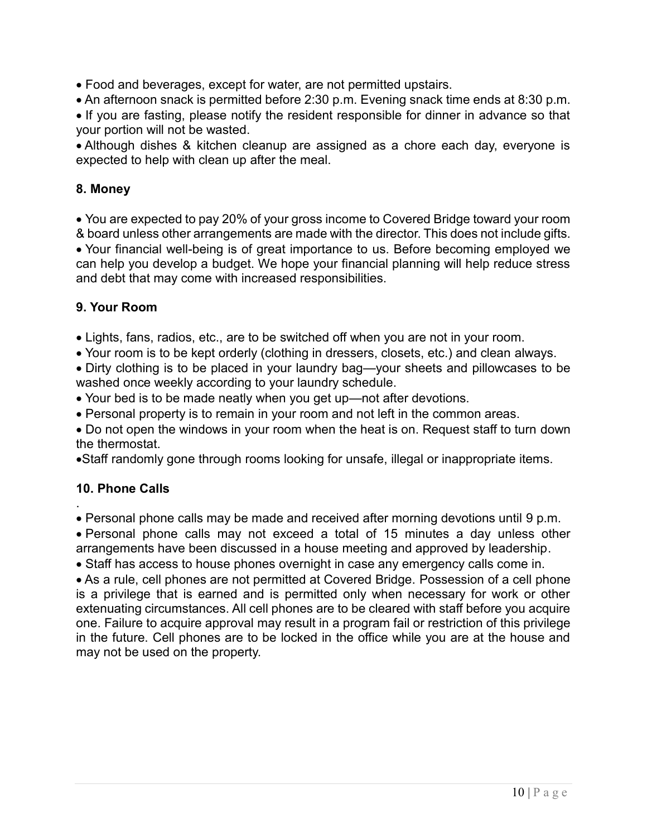Food and beverages, except for water, are not permitted upstairs.

An afternoon snack is permitted before 2:30 p.m. Evening snack time ends at 8:30 p.m.

• If you are fasting, please notify the resident responsible for dinner in advance so that your portion will not be wasted.

 Although dishes & kitchen cleanup are assigned as a chore each day, everyone is expected to help with clean up after the meal.

#### **8. Money**

 You are expected to pay 20% of your gross income to Covered Bridge toward your room & board unless other arrangements are made with the director. This does not include gifts. Your financial well-being is of great importance to us. Before becoming employed we can help you develop a budget. We hope your financial planning will help reduce stress and debt that may come with increased responsibilities.

#### **9. Your Room**

Lights, fans, radios, etc., are to be switched off when you are not in your room.

Your room is to be kept orderly (clothing in dressers, closets, etc.) and clean always.

 Dirty clothing is to be placed in your laundry bag—your sheets and pillowcases to be washed once weekly according to your laundry schedule.

Your bed is to be made neatly when you get up—not after devotions.

Personal property is to remain in your room and not left in the common areas.

 Do not open the windows in your room when the heat is on. Request staff to turn down the thermostat.

Staff randomly gone through rooms looking for unsafe, illegal or inappropriate items.

## **10. Phone Calls**

.

Personal phone calls may be made and received after morning devotions until 9 p.m.

 Personal phone calls may not exceed a total of 15 minutes a day unless other arrangements have been discussed in a house meeting and approved by leadership.

• Staff has access to house phones overnight in case any emergency calls come in.

 As a rule, cell phones are not permitted at Covered Bridge. Possession of a cell phone is a privilege that is earned and is permitted only when necessary for work or other extenuating circumstances. All cell phones are to be cleared with staff before you acquire one. Failure to acquire approval may result in a program fail or restriction of this privilege in the future. Cell phones are to be locked in the office while you are at the house and may not be used on the property.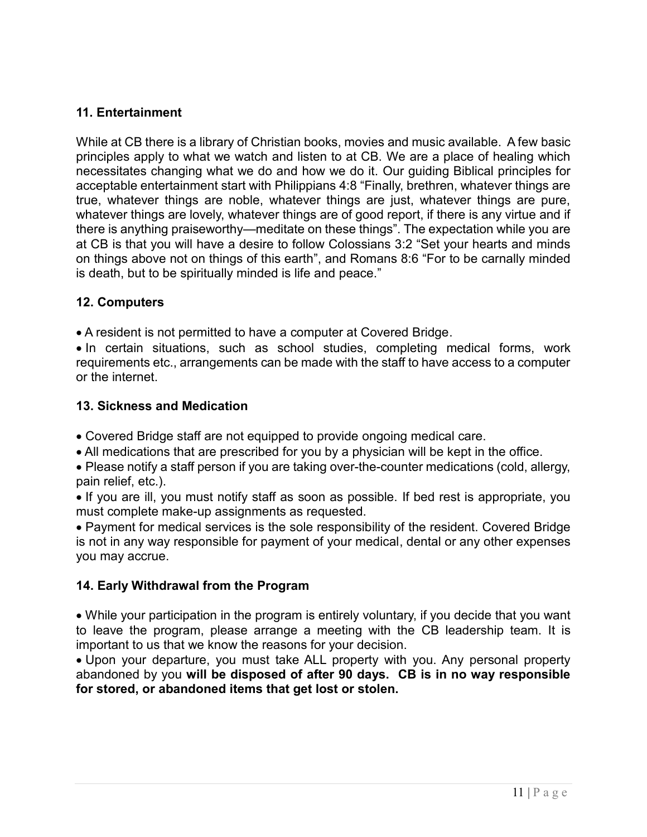## **11. Entertainment**

While at CB there is a library of Christian books, movies and music available. A few basic principles apply to what we watch and listen to at CB. We are a place of healing which necessitates changing what we do and how we do it. Our guiding Biblical principles for acceptable entertainment start with Philippians 4:8 "Finally, brethren, whatever things are true, whatever things are noble, whatever things are just, whatever things are pure, whatever things are lovely, whatever things are of good report, if there is any virtue and if there is anything praiseworthy—meditate on these things". The expectation while you are at CB is that you will have a desire to follow Colossians 3:2 "Set your hearts and minds on things above not on things of this earth", and Romans 8:6 "For to be carnally minded is death, but to be spiritually minded is life and peace."

#### **12. Computers**

A resident is not permitted to have a computer at Covered Bridge.

• In certain situations, such as school studies, completing medical forms, work requirements etc., arrangements can be made with the staff to have access to a computer or the internet.

#### **13. Sickness and Medication**

- Covered Bridge staff are not equipped to provide ongoing medical care.
- All medications that are prescribed for you by a physician will be kept in the office.

 Please notify a staff person if you are taking over-the-counter medications (cold, allergy, pain relief, etc.).

• If you are ill, you must notify staff as soon as possible. If bed rest is appropriate, you must complete make-up assignments as requested.

 Payment for medical services is the sole responsibility of the resident. Covered Bridge is not in any way responsible for payment of your medical, dental or any other expenses you may accrue.

## **14. Early Withdrawal from the Program**

 While your participation in the program is entirely voluntary, if you decide that you want to leave the program, please arrange a meeting with the CB leadership team. It is important to us that we know the reasons for your decision.

• Upon your departure, you must take ALL property with you. Any personal property abandoned by you **will be disposed of after 90 days. CB is in no way responsible for stored, or abandoned items that get lost or stolen.**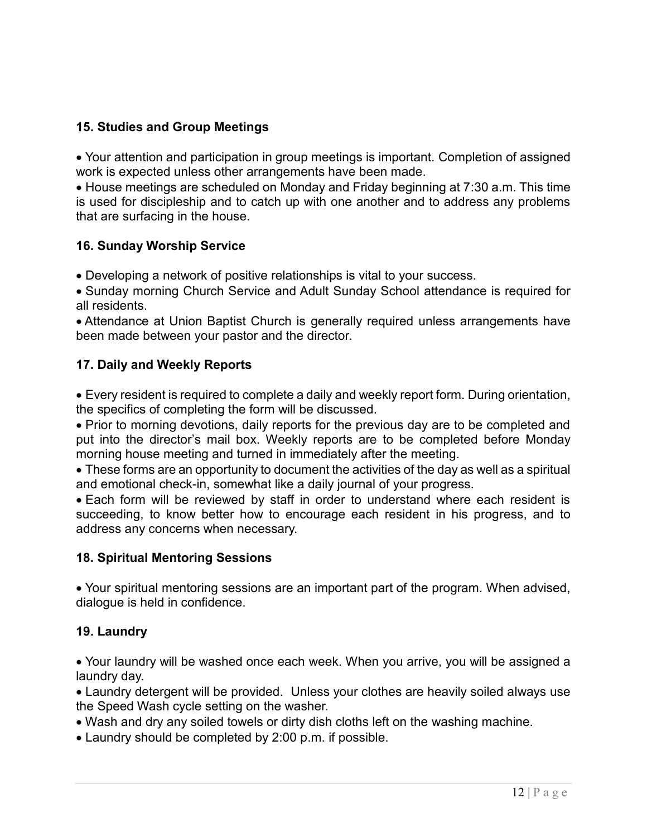## **15. Studies and Group Meetings**

 Your attention and participation in group meetings is important. Completion of assigned work is expected unless other arrangements have been made.

 House meetings are scheduled on Monday and Friday beginning at 7:30 a.m. This time is used for discipleship and to catch up with one another and to address any problems that are surfacing in the house.

#### **16. Sunday Worship Service**

Developing a network of positive relationships is vital to your success.

 Sunday morning Church Service and Adult Sunday School attendance is required for all residents.

 Attendance at Union Baptist Church is generally required unless arrangements have been made between your pastor and the director.

## **17. Daily and Weekly Reports**

 Every resident is required to complete a daily and weekly report form. During orientation, the specifics of completing the form will be discussed.

• Prior to morning devotions, daily reports for the previous day are to be completed and put into the director's mail box. Weekly reports are to be completed before Monday morning house meeting and turned in immediately after the meeting.

 These forms are an opportunity to document the activities of the day as well as a spiritual and emotional check-in, somewhat like a daily journal of your progress.

 Each form will be reviewed by staff in order to understand where each resident is succeeding, to know better how to encourage each resident in his progress, and to address any concerns when necessary.

#### **18. Spiritual Mentoring Sessions**

 Your spiritual mentoring sessions are an important part of the program. When advised, dialogue is held in confidence.

## **19. Laundry**

 Your laundry will be washed once each week. When you arrive, you will be assigned a laundry day.

 Laundry detergent will be provided. Unless your clothes are heavily soiled always use the Speed Wash cycle setting on the washer.

- Wash and dry any soiled towels or dirty dish cloths left on the washing machine.
- Laundry should be completed by 2:00 p.m. if possible.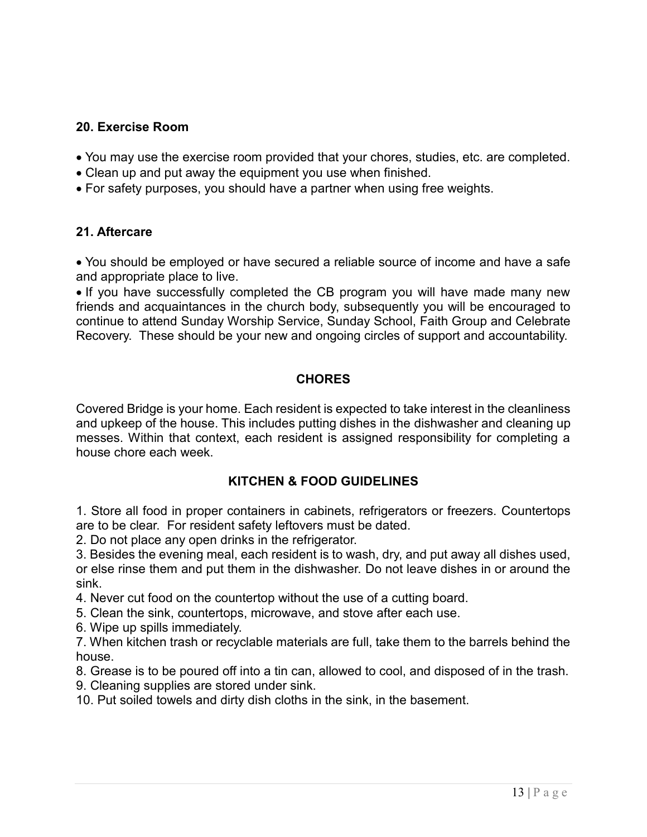#### **20. Exercise Room**

- You may use the exercise room provided that your chores, studies, etc. are completed.
- Clean up and put away the equipment you use when finished.
- For safety purposes, you should have a partner when using free weights.

#### **21. Aftercare**

 You should be employed or have secured a reliable source of income and have a safe and appropriate place to live.

• If you have successfully completed the CB program you will have made many new friends and acquaintances in the church body, subsequently you will be encouraged to continue to attend Sunday Worship Service, Sunday School, Faith Group and Celebrate Recovery. These should be your new and ongoing circles of support and accountability.

## **CHORES**

Covered Bridge is your home. Each resident is expected to take interest in the cleanliness and upkeep of the house. This includes putting dishes in the dishwasher and cleaning up messes. Within that context, each resident is assigned responsibility for completing a house chore each week.

## **KITCHEN & FOOD GUIDELINES**

1. Store all food in proper containers in cabinets, refrigerators or freezers. Countertops are to be clear. For resident safety leftovers must be dated.

2. Do not place any open drinks in the refrigerator.

3. Besides the evening meal, each resident is to wash, dry, and put away all dishes used, or else rinse them and put them in the dishwasher. Do not leave dishes in or around the sink.

4. Never cut food on the countertop without the use of a cutting board.

5. Clean the sink, countertops, microwave, and stove after each use.

6. Wipe up spills immediately.

7. When kitchen trash or recyclable materials are full, take them to the barrels behind the house.

8. Grease is to be poured off into a tin can, allowed to cool, and disposed of in the trash.

9. Cleaning supplies are stored under sink.

10. Put soiled towels and dirty dish cloths in the sink, in the basement.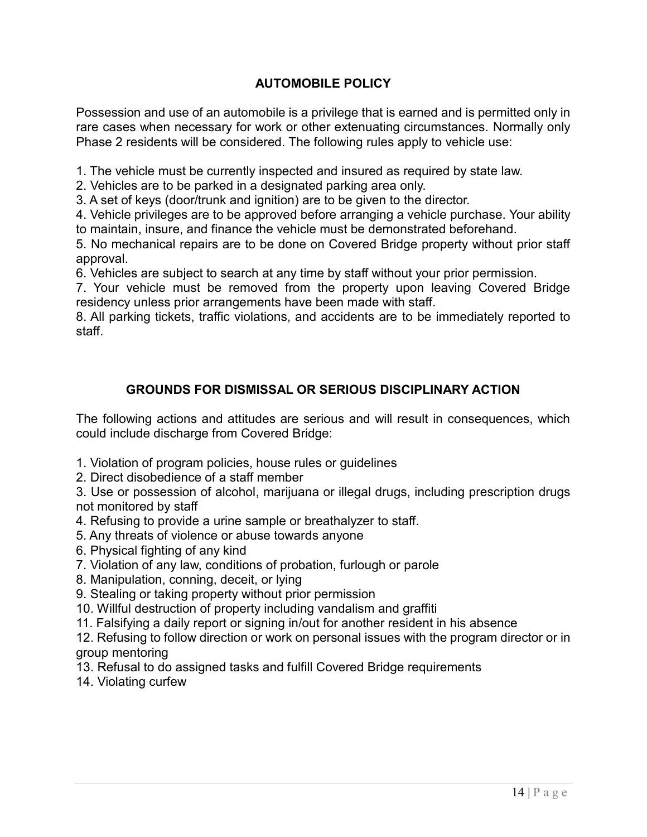# **AUTOMOBILE POLICY**

Possession and use of an automobile is a privilege that is earned and is permitted only in rare cases when necessary for work or other extenuating circumstances. Normally only Phase 2 residents will be considered. The following rules apply to vehicle use:

1. The vehicle must be currently inspected and insured as required by state law.

2. Vehicles are to be parked in a designated parking area only.

3. A set of keys (door/trunk and ignition) are to be given to the director.

4. Vehicle privileges are to be approved before arranging a vehicle purchase. Your ability to maintain, insure, and finance the vehicle must be demonstrated beforehand.

5. No mechanical repairs are to be done on Covered Bridge property without prior staff approval.

6. Vehicles are subject to search at any time by staff without your prior permission.

7. Your vehicle must be removed from the property upon leaving Covered Bridge residency unless prior arrangements have been made with staff.

8. All parking tickets, traffic violations, and accidents are to be immediately reported to staff.

# **GROUNDS FOR DISMISSAL OR SERIOUS DISCIPLINARY ACTION**

The following actions and attitudes are serious and will result in consequences, which could include discharge from Covered Bridge:

- 1. Violation of program policies, house rules or guidelines
- 2. Direct disobedience of a staff member

3. Use or possession of alcohol, marijuana or illegal drugs, including prescription drugs not monitored by staff

4. Refusing to provide a urine sample or breathalyzer to staff.

5. Any threats of violence or abuse towards anyone

- 6. Physical fighting of any kind
- 7. Violation of any law, conditions of probation, furlough or parole
- 8. Manipulation, conning, deceit, or lying
- 9. Stealing or taking property without prior permission

10. Willful destruction of property including vandalism and graffiti

11. Falsifying a daily report or signing in/out for another resident in his absence

12. Refusing to follow direction or work on personal issues with the program director or in group mentoring

13. Refusal to do assigned tasks and fulfill Covered Bridge requirements

14. Violating curfew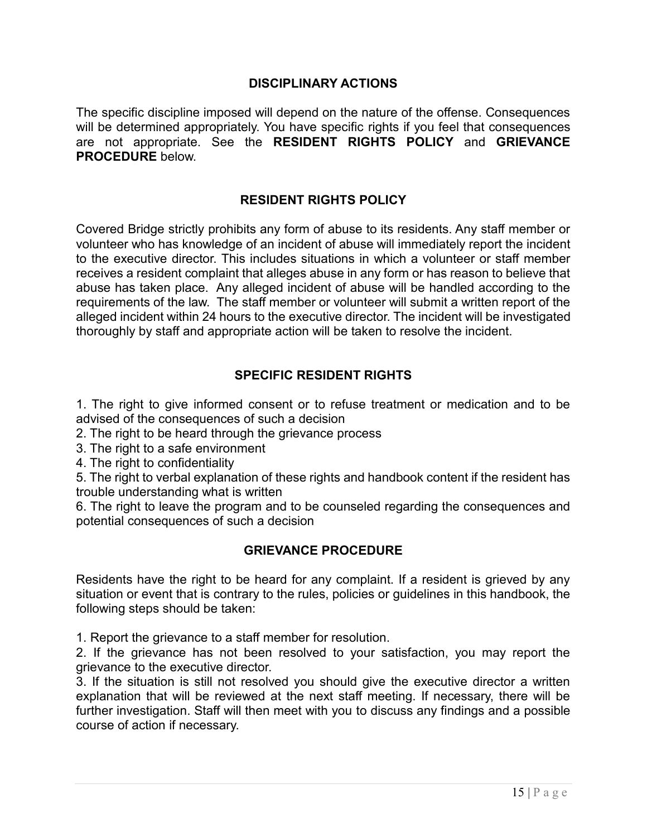#### **DISCIPLINARY ACTIONS**

The specific discipline imposed will depend on the nature of the offense. Consequences will be determined appropriately. You have specific rights if you feel that consequences are not appropriate. See the **RESIDENT RIGHTS POLICY** and **GRIEVANCE PROCEDURE** below.

#### **RESIDENT RIGHTS POLICY**

Covered Bridge strictly prohibits any form of abuse to its residents. Any staff member or volunteer who has knowledge of an incident of abuse will immediately report the incident to the executive director. This includes situations in which a volunteer or staff member receives a resident complaint that alleges abuse in any form or has reason to believe that abuse has taken place. Any alleged incident of abuse will be handled according to the requirements of the law. The staff member or volunteer will submit a written report of the alleged incident within 24 hours to the executive director. The incident will be investigated thoroughly by staff and appropriate action will be taken to resolve the incident.

#### **SPECIFIC RESIDENT RIGHTS**

1. The right to give informed consent or to refuse treatment or medication and to be advised of the consequences of such a decision

- 2. The right to be heard through the grievance process
- 3. The right to a safe environment
- 4. The right to confidentiality

5. The right to verbal explanation of these rights and handbook content if the resident has trouble understanding what is written

6. The right to leave the program and to be counseled regarding the consequences and potential consequences of such a decision

#### **GRIEVANCE PROCEDURE**

Residents have the right to be heard for any complaint. If a resident is grieved by any situation or event that is contrary to the rules, policies or guidelines in this handbook, the following steps should be taken:

1. Report the grievance to a staff member for resolution.

2. If the grievance has not been resolved to your satisfaction, you may report the grievance to the executive director.

3. If the situation is still not resolved you should give the executive director a written explanation that will be reviewed at the next staff meeting. If necessary, there will be further investigation. Staff will then meet with you to discuss any findings and a possible course of action if necessary.